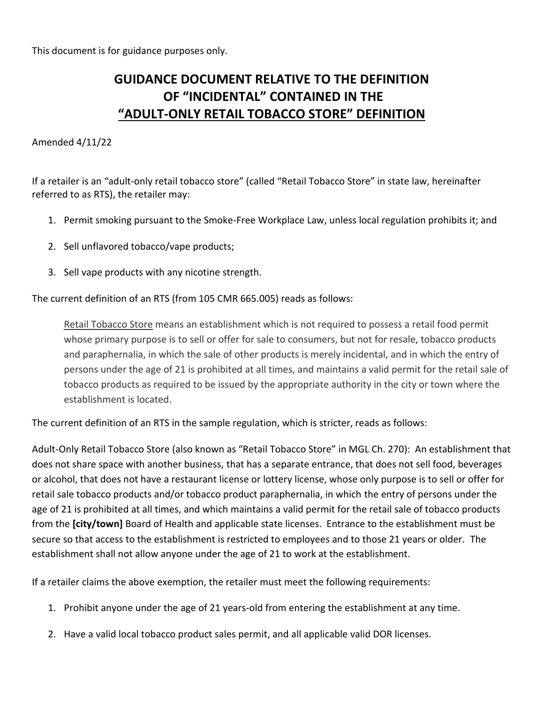This document is for guidance purposes only.

# **GUIDANCE DOCUMENT RELATIVE TO THE DEFINITION OF "INCIDENTAL" CONTAINED IN THE "ADULT-ONLY RETAIL TOBACCO STORE" DEFINITION**

## Amended 4/11/22

If a retailer is an "adult-only retail tobacco store" (called "Retail Tobacco Store" in state law, hereinafter referred to as RTS), the retailer may:

- 1. Permit smoking pursuant to the Smoke-Free Workplace Law, unless local regulation prohibits it; and
- 2. Sell unflavored tobacco/vape products;
- 3. Sell vape products with any nicotine strength.

The current definition of an RTS (from 105 CMR 665.005) reads as follows:

Retail Tobacco Store means an establishment which is not required to possess a retail food permit whose primary purpose is to sell or offer for sale to consumers, but not for resale, tobacco products and paraphernalia, in which the sale of other products is merely incidental, and in which the entry of persons under the age of 21 is prohibited at all times, and maintains a valid permit for the retail sale of tobacco products as required to be issued by the appropriate authority in the city or town where the establishment is located.

The current definition of an RTS in the sample regulation, which is stricter, reads as follows:

Adult-Only Retail Tobacco Store (also known as "Retail Tobacco Store" in MGL Ch. 270): An establishment that does not share space with another business, that has a separate entrance, that does not sell food, beverages or alcohol, that does not have a restaurant license or lottery license, whose only purpose is to sell or offer for retail sale tobacco products and/or tobacco product paraphernalia, in which the entry of persons under the age of 21 is prohibited at all times, and which maintains a valid permit for the retail sale of tobacco products from the **[city/town]** Board of Health and applicable state licenses. Entrance to the establishment must be secure so that access to the establishment is restricted to employees and to those 21 years or older. The establishment shall not allow anyone under the age of 21 to work at the establishment.

If a retailer claims the above exemption, the retailer must meet the following requirements:

- 1. Prohibit anyone under the age of 21 years-old from entering the establishment at any time.
- 2. Have a valid local tobacco product sales permit, and all applicable valid DOR licenses.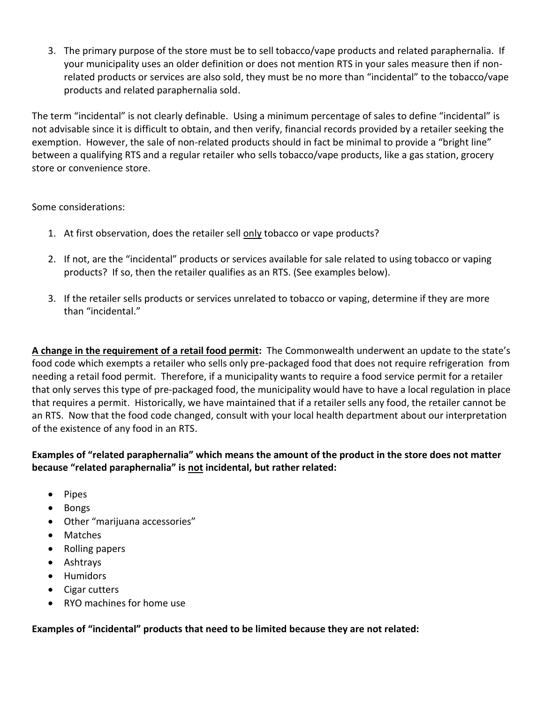3. The primary purpose of the store must be to sell tobacco/vape products and related paraphernalia. If your municipality uses an older definition or does not mention RTS in your sales measure then if nonrelated products or services are also sold, they must be no more than "incidental" to the tobacco/vape products and related paraphernalia sold.

The term "incidental" is not clearly definable. Using a minimum percentage of sales to define "incidental" is not advisable since it is difficult to obtain, and then verify, financial records provided by a retailer seeking the exemption. However, the sale of non-related products should in fact be minimal to provide a "bright line" between a qualifying RTS and a regular retailer who sells tobacco/vape products, like a gas station, grocery store or convenience store.

Some considerations:

- 1. At first observation, does the retailer sell only tobacco or vape products?
- 2. If not, are the "incidental" products or services available for sale related to using tobacco or vaping products? If so, then the retailer qualifies as an RTS. (See examples below).
- 3. If the retailer sells products or services unrelated to tobacco or vaping, determine if they are more than "incidental."

**A change in the requirement of a retail food permit:** The Commonwealth underwent an update to the state's food code which exempts a retailer who sells only pre-packaged food that does not require refrigeration from needing a retail food permit. Therefore, if a municipality wants to require a food service permit for a retailer that only serves this type of pre-packaged food, the municipality would have to have a local regulation in place that requires a permit. Historically, we have maintained that if a retailer sells any food, the retailer cannot be an RTS. Now that the food code changed, consult with your local health department about our interpretation of the existence of any food in an RTS.

## **Examples of "related paraphernalia" which means the amount of the product in the store does not matter because "related paraphernalia" is not incidental, but rather related:**

- Pipes
- Bongs
- Other "marijuana accessories"
- Matches
- Rolling papers
- Ashtrays
- Humidors
- Cigar cutters
- RYO machines for home use

#### **Examples of "incidental" products that need to be limited because they are not related:**